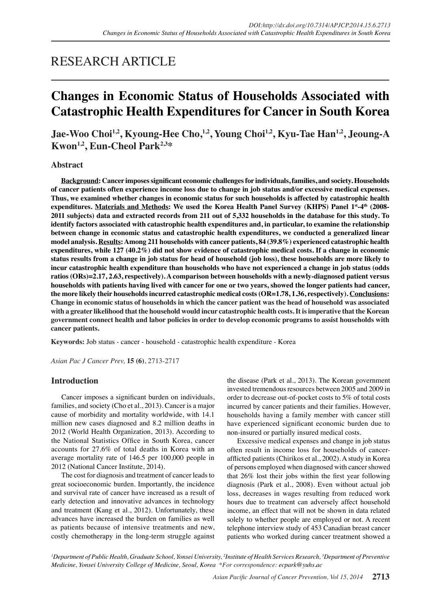## RESEARCH ARTICLE

# **Changes in Economic Status of Households Associated with Catastrophic Health Expenditures for Cancer in South Korea**

Jae-Woo Choi<sup>1,2</sup>, Kyoung-Hee Cho,<sup>1,2</sup>, Young Choi<sup>1,2</sup>, Kyu-Tae Han<sup>1,2</sup>, Jeoung-A **Kwon1,2, Eun-Cheol Park2,3\***

#### **Abstract**

**Background: Cancer imposes significant economic challenges for individuals, families, and society. Households of cancer patients often experience income loss due to change in job status and/or excessive medical expenses. Thus, we examined whether changes in economic status for such households is affected by catastrophic health expenditures. Materials and Methods: We used the Korea Health Panel Survey (KHPS) Panel 1st-4th (2008- 2011 subjects) data and extracted records from 211 out of 5,332 households in the database for this study. To identify factors associated with catastrophic health expenditures and, in particular, to examine the relationship between change in economic status and catastrophic health expenditures, we conducted a generalized linear model analysis. Results: Among 211 households with cancer patients, 84 (39.8%) experienced catastrophic health expenditures, while 127 (40.2%) did not show evidence of catastrophic medical costs. If a change in economic status results from a change in job status for head of household (job loss), these households are more likely to incur catastrophic health expenditure than households who have not experienced a change in job status (odds ratios (ORs)=2.17, 2.63, respectively). A comparison between households with a newly-diagnosed patient versus households with patients having lived with cancer for one or two years, showed the longer patients had cancer, the more likely their households incurred catastrophic medical costs (OR=1.78, 1.36, respectively). Conclusions: Change in economic status of households in which the cancer patient was the head of household was associated with a greater likelihood that the household would incur catastrophic health costs. It is imperative that the Korean government connect health and labor policies in order to develop economic programs to assist households with cancer patients.**

**Keywords:** Job status - cancer - household - catastrophic health expenditure - Korea

*Asian Pac J Cancer Prev,* **15 (6)**, 2713-2717

## **Introduction**

Cancer imposes a significant burden on individuals, families, and society (Cho et al., 2013). Cancer is a major cause of morbidity and mortality worldwide, with 14.1 million new cases diagnosed and 8.2 million deaths in 2012 (World Health Organization, 2013). According to the National Statistics Office in South Korea, cancer accounts for 27.6% of total deaths in Korea with an average mortality rate of 146.5 per 100,000 people in 2012 (National Cancer Institute, 2014).

The cost for diagnosis and treatment of cancer leads to great socioeconomic burden. Importantly, the incidence and survival rate of cancer have increased as a result of early detection and innovative advances in technology and treatment (Kang et al., 2012). Unfortunately, these advances have increased the burden on families as well as patients because of intensive treatments and new, costly chemotherapy in the long-term struggle against

the disease (Park et al., 2013). The Korean government invested tremendous resources between 2005 and 2009 in order to decrease out-of-pocket costs to 5% of total costs incurred by cancer patients and their families. However, households having a family member with cancer still have experienced significant economic burden due to non-insured or partially insured medical costs.

Excessive medical expenses and change in job status often result in income loss for households of cancerafflicted patients (Chirikos et al., 2002). A study in Korea of persons employed when diagnosed with cancer showed that 26% lost their jobs within the first year following diagnosis (Park et al., 2008). Even without actual job loss, decreases in wages resulting from reduced work hours due to treatment can adversely affect household income, an effect that will not be shown in data related solely to whether people are employed or not. A recent telephone interview study of 453 Canadian breast cancer patients who worked during cancer treatment showed a

*<sup>1</sup>Department of Public Health, Graduate School, Yonsei University, <sup>2</sup>Institute of Health Services Research, <sup>3</sup>Department of Preventive Medicine, Yonsei University College of Medicine, Seoul, Korea \*For correspondence: ecpark@yuhs.ac*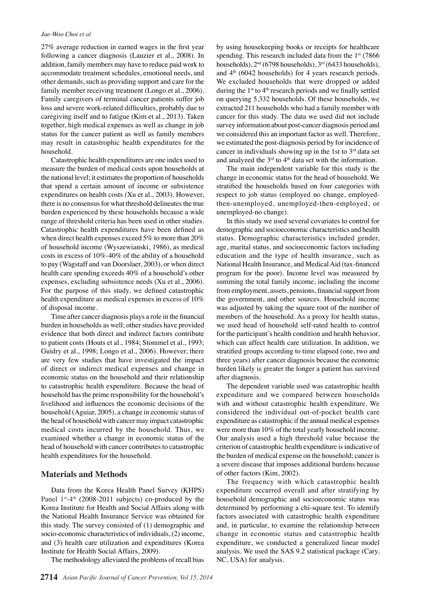#### *Jae-Woo Choi et al*

27% average reduction in earned wages in the first year following a cancer diagnosis (Lauzier et al., 2008). In addition, family members may have to reduce paid work to accommodate treatment schedules, emotional needs, and other demands, such as providing support and care for the family member receiving treatment (Longo et al., 2006). Family caregivers of terminal cancer patients suffer job loss and severe work-related difficulties, probably due to caregiving itself and to fatigue (Kim et al., 2013). Taken together, high medical expenses as well as change in job status for the cancer patient as well as family members may result in catastrophic health expenditures for the household.

Catastrophic health expenditures are one index used to measure the burden of medical costs upon households at the national level; it estimates the proportion of households that spend a certain amount of income or subsistence expenditures on health costs (Xu et al., 2003). However, there is no consensus for what threshold delineates the true burden experienced by these households because a wide range of threshold criteria has been used in other studies. Catastrophic health expenditures have been defined as when direct health expenses exceed 5% to more than 20% of household income (Wyszewianski, 1986), as medical costs in excess of 10%-40% of the ability of a household to pay (Wagstaff and van Doorslaer, 2003), or when direct health care spending exceeds 40% of a household's other expenses, excluding subsistence needs (Xu et al., 2006). For the purpose of this study, we defined catastrophic health expenditure as medical expenses in excess of 10% of disposal income.

Time after cancer diagnosis plays a role in the financial burden in households as well; other studies have provided evidence that both direct and indirect factors contribute to patient costs (Houts et al., 1984; Stommel et al., 1993; Guidry et al., 1998; Longo et al., 2006). However, there are very few studies that have investigated the impact of direct or indirect medical expenses and change in economic status on the household and their relationship to catastrophic health expenditure. Because the head of household has the prime responsibility for the household's livelihood and influences the economic decisions of the household (Aguiar, 2005), a change in economic status of the head of household with cancer may impact catastrophic medical costs incurred by the household. Thus, we examined whether a change in economic status of the head of household with cancer contributes to catastrophic health expenditures for the household.

#### **Materials and Methods**

Data from the Korea Health Panel Survey (KHPS) Panel  $1^{st} - 4^{th}$  (2008-2011 subjects) co-produced by the Korea Institute for Health and Social Affairs along with the National Health Insurance Service was obtained for this study. The survey consisted of (1) demographic and socio-economic characteristics of individuals, (2) income, and (3) health care utilization and expenditures (Korea Institute for Health Social Affairs, 2009).

The methodology alleviated the problems of recall bias

by using housekeeping books or receipts for healthcare spending. This research included data from the  $1<sup>st</sup>$  (7866) households), 2nd (6798 households), 3rd (6433 households), and  $4<sup>th</sup>$  (6042 households) for 4 years research periods. We excluded households that were dropped or added during the 1<sup>st</sup> to 4<sup>th</sup> research periods and we finally settled on querying 5,332 households. Of these households, we extracted 211 households who had a family member with cancer for this study. The data we used did not include survey information about post-cancer diagnosis period and we considered this an important factor as well. Therefore, we estimated the post-diagnosis period by for incidence of cancer in individuals showing up in the 1st to  $3<sup>rd</sup>$  data set and analyzed the  $3<sup>rd</sup>$  to  $4<sup>th</sup>$  data set with the information.

The main independent variable for this study is the change in economic status for the head of household. We stratified the households based on four categories with respect to job status (employed no change, employedthen-unemployed, unemployed-then-employed, or unemployed-no change).

In this study we used several covariates to control for demographic and socioeconomic characteristics and health status. Demographic characteristics included gender, age, marital status, and socioeconomic factors including education and the type of health insurance, such as National Health Insurance, and Medical Aid (tax-financed program for the poor). Income level was measured by summing the total family income, including the income from employment, assets, pensions, financial support from the government, and other sources. Household income was adjusted by taking the square root of the number of members of the household. As a proxy for health status, we used head of household self-rated health to control for the participant's health condition and health behavior, which can affect health care utilization. In addition, we stratified groups according to time elapsed (one, two and three years) after cancer diagnosis because the economic burden likely is greater the longer a patient has survived after diagnosis.

The dependent variable used was catastrophic health expenditure and we compared between households with and without catastrophic health expenditure. We considered the individual out-of-pocket health care expenditure as catastrophic if the annual medical expenses were more than 10% of the total yearly household income. Our analysis used a high threshold value because the criterion of catastrophic health expenditure is indicative of the burden of medical expense on the household; cancer is a severe disease that imposes additional burdens because of other factors (Kim, 2002).

The frequency with which catastrophic health expenditure occurred overall and after stratifying by household demographic and socioeconomic status was determined by performing a chi-square test. To identify factors associated with catastrophic health expenditure and, in particular, to examine the relationship between change in economic status and catastrophic health expenditure, we conducted a generalized linear model analysis. We used the SAS 9.2 statistical package (Cary, NC, USA) for analysis.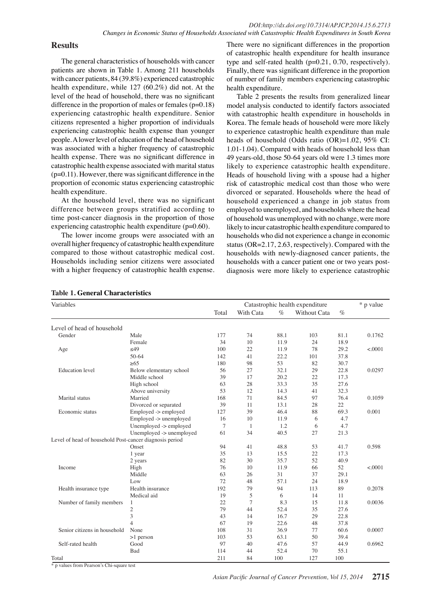#### **Results**

The general characteristics of households with cancer patients are shown in Table 1. Among 211 households with cancer patients, 84 (39.8%) experienced catastrophic health expenditure, while 127 (60.2%) did not. At the level of the head of household, there was no significant difference in the proportion of males or females  $(p=0.18)$ experiencing catastrophic health expenditure. Senior citizens represented a higher proportion of individuals experiencing catastrophic health expense than younger people. A lower level of education of the head of household was associated with a higher frequency of catastrophic health expense. There was no significant difference in catastrophic health expense associated with marital status  $(p=0.11)$ . However, there was significant difference in the proportion of economic status experiencing catastrophic health expenditure.

At the household level, there was no significant difference between groups stratified according to time post-cancer diagnosis in the proportion of those experiencing catastrophic health expenditure (p=0.60).

The lower income groups were associated with an overall higher frequency of catastrophic health expenditure compared to those without catastrophic medical cost. Households including senior citizens were associated with a higher frequency of catastrophic health expense.

There were no significant differences in the proportion of catastrophic health expenditure for health insurance type and self-rated health (p=0.21, 0.70, respectively). Finally, there was significant difference in the proportion of number of family members experiencing catastrophic health expenditure.

Table 2 presents the results from generalized linear model analysis conducted to identify factors associated with catastrophic health expenditure in households in Korea. The female heads of household were more likely to experience catastrophic health expenditure than male heads of household (Odds ratio (OR)=1.02, 95% CI: 1.01-1.04). Compared with heads of household less than 49 years-old, those 50-64 years old were 1.3 times more likely to experience catastrophic health expenditure. Heads of household living with a spouse had a higher risk of catastrophic medical cost than those who were divorced or separated. Households where the head of household experienced a change in job status from employed to unemployed, and households where the head of household was unemployed with no change, were more likely to incur catastrophic health expenditure compared to households who did not experience a change in economic status (OR=2.17, 2.63, respectively). Compared with the households with newly-diagnosed cancer patients, the households with a cancer patient one or two years postdiagnosis were more likely to experience catastrophic

| Variables                                               |                          | 100.0            | Catastrophic health expenditure |                                                          |                                                                                                                                     |                                                                    | * p value |      |
|---------------------------------------------------------|--------------------------|------------------|---------------------------------|----------------------------------------------------------|-------------------------------------------------------------------------------------------------------------------------------------|--------------------------------------------------------------------|-----------|------|
|                                                         |                          | Total            | With Cata                       | $\frac{\%}{10.1}$                                        | Without Cata                                                                                                                        | $\%$                                                               |           |      |
| Level of head of household                              |                          |                  |                                 |                                                          | 20.3                                                                                                                                |                                                                    |           |      |
| Gender                                                  | Male                     | 7570             | 74                              | 88.1                                                     | 103                                                                                                                                 | 825.0                                                              | 0.1762    | 30.0 |
|                                                         | Female                   | 34               | 10                              | 11.9                                                     | 24                                                                                                                                  | 18.9                                                               |           |      |
| Age                                                     | $\leq 49$                | 100              |                                 |                                                          | 78                                                                                                                                  | 29.2                                                               | < .0001   |      |
|                                                         | 50-64                    | 142              | $^{22}_{4}$ 56.3                | 148.8<br>$22.\overline{2}$                               | 101                                                                                                                                 | 37.8                                                               |           |      |
|                                                         | $\geq 65$                |                  | 98                              | 53                                                       | 54.2                                                                                                                                | 30.7                                                               |           |      |
| <b>Education</b> level                                  | Below elementary school  | 500<br>56        | 27                              | 32.1                                                     | 29                                                                                                                                  | 22.83                                                              | 0.0297    | 30.0 |
|                                                         | Middle school            | 39               | 17                              | 20.2                                                     | 22                                                                                                                                  | 17.3                                                               |           |      |
|                                                         | High school              | 63               | 28                              | 33.3                                                     | 35                                                                                                                                  | 27.6                                                               |           |      |
|                                                         | Above university         |                  |                                 | 14.3                                                     | 41                                                                                                                                  | 32.3                                                               |           |      |
| Marital status                                          | Married                  | $2\frac{53}{80}$ |                                 |                                                          | 97                                                                                                                                  | 76.4                                                               | 0.1059    |      |
|                                                         | Divorced or separated    | 39               | $1$ 31.3                        | $\frac{84.5}{13.5}$ .0                                   | 28                                                                                                                                  | 231.3                                                              |           |      |
| Economic status                                         | Employed -> employed     | 127              | 39                              | 46.4                                                     | 23.7                                                                                                                                | 69.3                                                               | 0.001     | 30.0 |
|                                                         | Employed -> unemployed   | 16               | $\overline{0}$                  | 11.9                                                     | 6                                                                                                                                   | 4.7                                                                |           |      |
|                                                         | Unemployed -> employed   | 70               |                                 | $\pm 2$                                                  | ক                                                                                                                                   | 4.7                                                                |           |      |
|                                                         | Unemployed -> unemployed | 61               |                                 |                                                          |                                                                                                                                     |                                                                    |           |      |
| Level of head of household Post-cancer diagnosis period |                          |                  |                                 | 40.5<br>48.48<br>48.15<br>5.35<br>11.31<br>$\frac{1}{2}$ |                                                                                                                                     | $\begin{array}{r}\n 21.8 \\  -3.5 \\  \hline\n 41.8\n \end{array}$ |           | None |
|                                                         | Onset                    | 94               |                                 |                                                          |                                                                                                                                     |                                                                    | 0.598     |      |
|                                                         | 1 year                   | 35               |                                 |                                                          |                                                                                                                                     | $17\bar{2}$                                                        |           |      |
|                                                         | 2 years                  | 82               |                                 |                                                          |                                                                                                                                     | 40.9                                                               |           |      |
| Income                                                  | High                     | 76               |                                 |                                                          |                                                                                                                                     | 52                                                                 | < .0001   |      |
|                                                         | Middle                   | 63               |                                 |                                                          |                                                                                                                                     | 29.1                                                               |           |      |
|                                                         | Low                      | 72               |                                 |                                                          |                                                                                                                                     | 18.9                                                               |           |      |
| Health insurance type                                   | Health insurance         | 192              |                                 | $31\frac{57}{57}$ . By Belgie<br>94 6 $\frac{6}{5}$      | 22<br>5<br>2<br>5<br>6<br>3<br>2<br>5<br>6<br>3<br>2<br>1<br>1<br>1<br><br><br><br><br><br><br><br><br><br><br><br><br><br><br><br> | 89                                                                 | 0.2078    |      |
|                                                         | Medical aid              | 19               |                                 |                                                          |                                                                                                                                     | 11                                                                 |           |      |
| Number of family members                                |                          | 22               |                                 |                                                          | 15                                                                                                                                  | 11.8                                                               | 0.0036    |      |
|                                                         | $\overline{c}$           | 79               |                                 | $8.26$<br>52.4                                           | 35                                                                                                                                  | 27.6                                                               |           |      |
|                                                         | 3                        | 43               |                                 | $16.$ ₹                                                  | 29                                                                                                                                  | 22.8                                                               |           |      |
|                                                         |                          | 67               |                                 | 22.6                                                     | 48                                                                                                                                  | 37.8                                                               |           |      |
| Senior citizens in household                            | None                     | 108              | 31                              | 36.9                                                     | 77                                                                                                                                  | 60.6                                                               | 0.0007    |      |
|                                                         | $>1$ person              | 103              | 53                              | 63.1                                                     | 50                                                                                                                                  | 39.4                                                               |           |      |
| Self-rated health                                       | Good                     | 97               | 40                              | 47.6                                                     | 57                                                                                                                                  | 44.9                                                               | 0.6962    |      |
|                                                         | Bad                      | 114              | 44                              | 52.4                                                     | 70                                                                                                                                  | 55.1                                                               |           |      |
| Total                                                   |                          | 211              | 84                              | 100                                                      | 127                                                                                                                                 | 100                                                                |           |      |

**Table 1. General Characteristics**

\* p values from Pearson's Chi-square test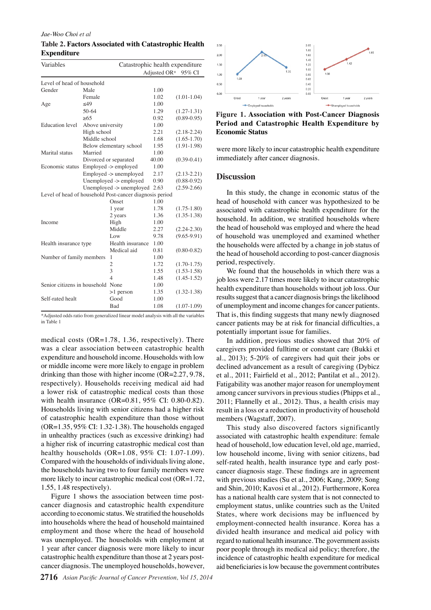#### *Jae-Woo Choi et al*

**Table 2. Factors Associated with Catastrophic Health Expenditure**

| Variables                                               | Catastrophic health expenditure |                                     |              |                 |  |  |  |
|---------------------------------------------------------|---------------------------------|-------------------------------------|--------------|-----------------|--|--|--|
|                                                         |                                 |                                     | Adjusted OR* | 95% CI          |  |  |  |
| Level of head of household                              |                                 |                                     |              |                 |  |  |  |
| Gender                                                  | Male                            |                                     | 1.00         |                 |  |  |  |
|                                                         | Female                          |                                     | 1.02         | $(1.01 - 1.04)$ |  |  |  |
| Age                                                     | $<$ 49                          |                                     | 1.00         |                 |  |  |  |
|                                                         | $50-64$                         |                                     | 1.29         | $(1.27 - 1.31)$ |  |  |  |
|                                                         | >65                             |                                     | 0.92         | $(0.89 - 0.95)$ |  |  |  |
| <b>Education</b> level                                  | Above university                |                                     | 1.00         |                 |  |  |  |
|                                                         | High school                     |                                     | 2.21         | $(2.18 - 2.24)$ |  |  |  |
|                                                         | Middle school                   |                                     | 1.68         | $(1.65 - 1.70)$ |  |  |  |
|                                                         |                                 | Below elementary school             | 1.95         | $(1.91-1.98)$   |  |  |  |
| Marital status                                          | Married                         |                                     | 1.00         |                 |  |  |  |
|                                                         |                                 | Divorced or separated               | 40.00        | $(0.39 - 0.41)$ |  |  |  |
| Economic status                                         |                                 | Employed -> employed                | 1.00         |                 |  |  |  |
|                                                         |                                 | Employed -> unemployed              | 2.17         | $(2.13 - 2.21)$ |  |  |  |
|                                                         |                                 | Unemployed -> employed              | 0.90         | $(0.88 - 0.92)$ |  |  |  |
|                                                         |                                 | Unemployed $\rightarrow$ unemployed | 2.63         | $(2.59-2.66)$   |  |  |  |
| Level of head of household Post-cancer diagnosis period |                                 |                                     |              |                 |  |  |  |
|                                                         |                                 | Onset                               | 1.00         |                 |  |  |  |
|                                                         |                                 | 1 year                              | 1.78         | $(1.75 - 1.80)$ |  |  |  |
|                                                         |                                 | 2 years                             | 1.36         | $(1.35 - 1.38)$ |  |  |  |
| Income                                                  |                                 | High                                | 1.00         |                 |  |  |  |
|                                                         |                                 | Middle                              | 2.27         | $(2.24 - 2.30)$ |  |  |  |
|                                                         |                                 | Low                                 | 9.78         | $(9.65 - 9.91)$ |  |  |  |
| Health insurance type                                   |                                 | Health insurance                    | 1.00         |                 |  |  |  |
|                                                         |                                 | Medical aid                         | 0.81         | $(0.80 - 0.82)$ |  |  |  |
| Number of family members                                |                                 | 1                                   | 1.00         |                 |  |  |  |
|                                                         |                                 | $\overline{c}$                      | 1.72         | $(1.70 - 1.75)$ |  |  |  |
|                                                         |                                 | 3                                   | 1.55         | $(1.53 - 1.58)$ |  |  |  |
|                                                         |                                 | $\overline{4}$                      | 1.48         | $(1.45 - 1.52)$ |  |  |  |
| Senior citizens in household None                       |                                 |                                     | 1.00         |                 |  |  |  |
|                                                         |                                 | $>1$ person                         | 1.35         | $(1.32 - 1.38)$ |  |  |  |
| Self-rated healt                                        |                                 | Good                                | 1.00         |                 |  |  |  |
|                                                         |                                 | Bad                                 | 1.08         | $(1.07-1.09)$   |  |  |  |

\*Adjusted odds ratio from generalized linear model analysis with all the variables in Table 1

medical costs (OR=1.78, 1.36, respectively). There was a clear association between catastrophic health expenditure and household income. Households with low or middle income were more likely to engage in problem drinking than those with higher income (OR=2.27, 9.78, respectively). Households receiving medical aid had a lower risk of catastrophic medical costs than those with health insurance (OR=0.81, 95% CI: 0.80-0.82). Households living with senior citizens had a higher risk of catastrophic health expenditure than those without (OR=1.35, 95% CI: 1.32-1.38). The households engaged in unhealthy practices (such as excessive drinking) had a higher risk of incurring catastrophic medical cost than healthy households (OR=1.08, 95% CI: 1.07-1.09). Compared with the households of individuals living alone, the households having two to four family members were more likely to incur catastrophic medical cost (OR=1.72, 1.55, 1.48 respectively).

Figure 1 shows the association between time postcancer diagnosis and catastrophic health expenditure according to economic status. We stratified the households into households where the head of household maintained employment and those where the head of household was unemployed. The households with employment at 1 year after cancer diagnosis were more likely to incur catastrophic health expenditure than those at 2 years postcancer diagnosis. The unemployed households, however,



**Figure 1. Association with Post-Cancer Diagnosis Period and Catastrophic Health Expenditure by Economic Status**

were more likely to incur catastrophic health expenditure immediately after cancer diagnosis.

#### **Discussion**

In this study, the change in economic status of the head of household with cancer was hypothesized to be associated with catastrophic health expenditure for the household. In addition, we stratified households where the head of household was employed and where the head of household was unemployed and examined whether the households were affected by a change in job status of the head of household according to post-cancer diagnosis period, respectively.

We found that the households in which there was a job loss were 2.17 times more likely to incur catastrophic health expenditure than households without job loss. Our results suggest that a cancer diagnosis brings the likelihood of unemployment and income changes for cancer patients. That is, this finding suggests that many newly diagnosed cancer patients may be at risk for financial difficulties, a potentially important issue for families.

In addition, previous studies showed that 20% of caregivers provided fulltime or constant care (Bukki et al., 2013); 5-20% of caregivers had quit their jobs or declined advancement as a result of caregiving (Dybicz et al., 2011; Fairfield et al., 2012; Pantilat et al., 2012). Fatigability was another major reason for unemployment among cancer survivors in previous studies (Phipps et al., 2011; Flannelly et al., 2012). Thus, a health crisis may result in a loss or a reduction in productivity of household members (Wagstaff, 2007).

This study also discovered factors significantly associated with catastrophic health expenditure: female head of household, low education level, old age, married, low household income, living with senior citizens, bad self-rated health, health insurance type and early postcancer diagnosis stage. These findings are in agreement with previous studies (Su et al., 2006; Kang, 2009; Song and Shin, 2010; Kavosi et al., 2012). Furthermore, Korea has a national health care system that is not connected to employment status, unlike countries such as the United States, where work decisions may be influenced by employment-connected health insurance. Korea has a divided health insurance and medical aid policy with regard to national health insurance. The government assists poor people through its medical aid policy; therefore, the incidence of catastrophic health expenditure for medical aid beneficiaries is low because the government contributes